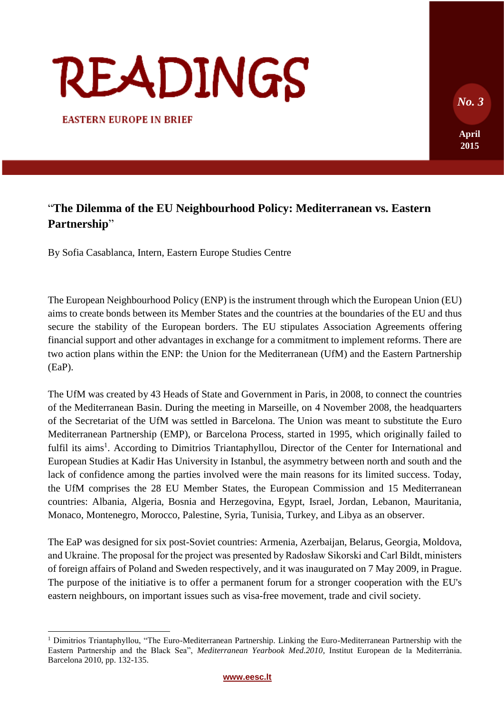# READINGS

**EASTERN EUROPE IN BRIEF** 

# "**The Dilemma of the EU Neighbourhood Policy: Mediterranean vs. Eastern Partnership**"

By Sofia Casablanca, Intern, Eastern Europe Studies Centre

The European Neighbourhood Policy (ENP) is the instrument through which the European Union (EU) aims to create bonds between its Member States and the countries at the boundaries of the EU and thus secure the stability of the European borders. The EU stipulates Association Agreements offering financial support and other advantages in exchange for a commitment to implement reforms. There are two action plans within the ENP: the Union for the Mediterranean (UfM) and the Eastern Partnership (EaP).

The UfM was created by 43 Heads of State and Government in Paris, in 2008, to connect the countries of the Mediterranean Basin. During the meeting in Marseille, on 4 November 2008, the headquarters of the Secretariat of the UfM was settled in Barcelona. The Union was meant to substitute the Euro Mediterranean Partnership (EMP), or Barcelona Process, started in 1995, which originally failed to fulfil its aims<sup>1</sup>. According to Dimitrios Triantaphyllou, Director of the Center for International and European Studies at Kadir Has University in Istanbul, the asymmetry between north and south and the lack of confidence among the parties involved were the main reasons for its limited success. Today, the UfM comprises the 28 EU Member States, the European Commission and 15 Mediterranean countries: Albania, Algeria, Bosnia and Herzegovina, Egypt, Israel, Jordan, Lebanon, Mauritania, Monaco, Montenegro, Morocco, Palestine, Syria, Tunisia, Turkey, and Libya as an observer.

The EaP was designed for six post-Soviet countries: Armenia, Azerbaijan, Belarus, Georgia, Moldova, and Ukraine. The proposal for the project was presented by Radosław Sikorski and Carl Bildt, ministers of foreign affairs of Poland and Sweden respectively, and it was inaugurated on 7 May 2009, in Prague. The purpose of the initiative is to offer a permanent forum for a stronger cooperation with the EU's eastern neighbours, on important issues such as visa-free movement, trade and civil society.

**[www.eesc.lt](http://www.eesc.lt/)**

**April** 

**2015**

 *No. 3*

<sup>&</sup>lt;sup>1</sup> Dimitrios Triantaphyllou, "The Euro-Mediterranean Partnership. Linking the Euro-Mediterranean Partnership with the Eastern Partnership and the Black Sea", *Mediterranean Yearbook Med.2010*, Institut European de la Mediterrània. Barcelona 2010, pp. 132-135.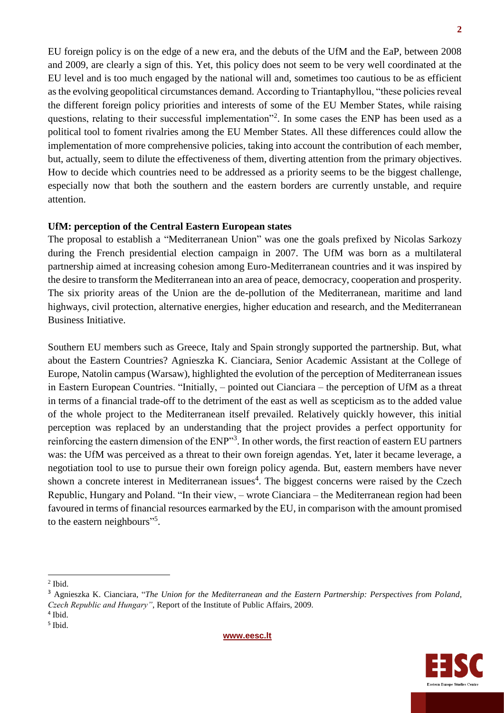EU foreign policy is on the edge of a new era, and the debuts of the UfM and the EaP, between 2008 and 2009, are clearly a sign of this. Yet, this policy does not seem to be very well coordinated at the EU level and is too much engaged by the national will and, sometimes too cautious to be as efficient as the evolving geopolitical circumstances demand. According to Triantaphyllou, "these policies reveal the different foreign policy priorities and interests of some of the EU Member States, while raising questions, relating to their successful implementation"<sup>2</sup>. In some cases the ENP has been used as a political tool to foment rivalries among the EU Member States. All these differences could allow the implementation of more comprehensive policies, taking into account the contribution of each member, but, actually, seem to dilute the effectiveness of them, diverting attention from the primary objectives. How to decide which countries need to be addressed as a priority seems to be the biggest challenge, especially now that both the southern and the eastern borders are currently unstable, and require attention.

### **UfM: perception of the Central Eastern European states**

The proposal to establish a "Mediterranean Union" was one the goals prefixed by Nicolas Sarkozy during the French presidential election campaign in 2007. The UfM was born as a multilateral partnership aimed at increasing cohesion among Euro-Mediterranean countries and it was inspired by the desire to transform the Mediterranean into an area of peace, democracy, cooperation and prosperity. The six priority areas of the Union are the de-pollution of the Mediterranean, maritime and land highways, civil protection, alternative energies, higher education and research, and the Mediterranean Business Initiative.

Southern EU members such as Greece, Italy and Spain strongly supported the partnership. But, what about the Eastern Countries? Agnieszka K. Cianciara, Senior Academic Assistant at the College of Europe, Natolin campus (Warsaw), highlighted the evolution of the perception of Mediterranean issues in Eastern European Countries. "Initially, – pointed out Cianciara – the perception of UfM as a threat in terms of a financial trade-off to the detriment of the east as well as scepticism as to the added value of the whole project to the Mediterranean itself prevailed. Relatively quickly however, this initial perception was replaced by an understanding that the project provides a perfect opportunity for reinforcing the eastern dimension of the ENP"<sup>3</sup>. In other words, the first reaction of eastern EU partners was: the UfM was perceived as a threat to their own foreign agendas. Yet, later it became leverage, a negotiation tool to use to pursue their own foreign policy agenda. But, eastern members have never shown a concrete interest in Mediterranean issues<sup>4</sup>. The biggest concerns were raised by the Czech Republic, Hungary and Poland. "In their view, – wrote Cianciara – the Mediterranean region had been favoured in terms of financial resources earmarked by the EU, in comparison with the amount promised to the eastern neighbours"<sup>5</sup>.

*Czech Republic and Hungary"*, Report of the Institute of Public Affairs, 2009.

4 Ibid.

5 Ibid.





 2 Ibid.

<sup>3</sup> Agnieszka K. Cianciara, "*The Union for the Mediterranean and the Eastern Partnership: Perspectives from Poland,*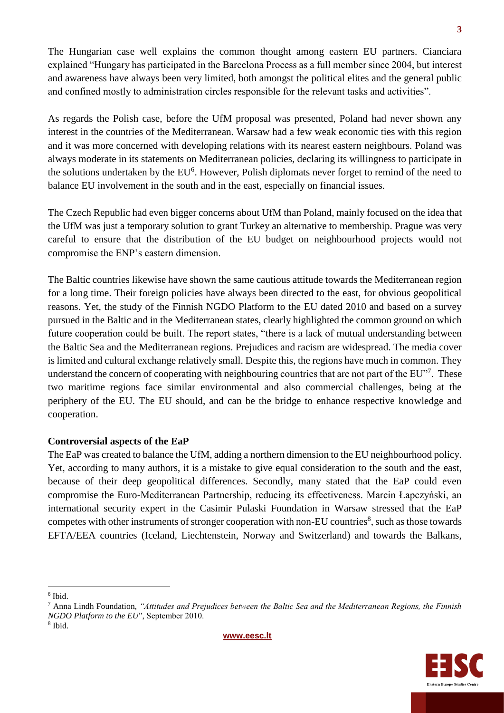The Hungarian case well explains the common thought among eastern EU partners. Cianciara explained "Hungary has participated in the Barcelona Process as a full member since 2004, but interest and awareness have always been very limited, both amongst the political elites and the general public and confined mostly to administration circles responsible for the relevant tasks and activities".

As regards the Polish case, before the UfM proposal was presented, Poland had never shown any interest in the countries of the Mediterranean. Warsaw had a few weak economic ties with this region and it was more concerned with developing relations with its nearest eastern neighbours. Poland was always moderate in its statements on Mediterranean policies, declaring its willingness to participate in the solutions undertaken by the EU<sup>6</sup>. However, Polish diplomats never forget to remind of the need to balance EU involvement in the south and in the east, especially on financial issues.

The Czech Republic had even bigger concerns about UfM than Poland, mainly focused on the idea that the UfM was just a temporary solution to grant Turkey an alternative to membership. Prague was very careful to ensure that the distribution of the EU budget on neighbourhood projects would not compromise the ENP's eastern dimension.

The Baltic countries likewise have shown the same cautious attitude towards the Mediterranean region for a long time. Their foreign policies have always been directed to the east, for obvious geopolitical reasons. Yet, the study of the Finnish NGDO Platform to the EU dated 2010 and based on a survey pursued in the Baltic and in the Mediterranean states, clearly highlighted the common ground on which future cooperation could be built. The report states, "there is a lack of mutual understanding between the Baltic Sea and the Mediterranean regions. Prejudices and racism are widespread. The media cover is limited and cultural exchange relatively small. Despite this, the regions have much in common. They understand the concern of cooperating with neighbouring countries that are not part of the EU"<sup>7</sup>. These two maritime regions face similar environmental and also commercial challenges, being at the periphery of the EU. The EU should, and can be the bridge to enhance respective knowledge and cooperation.

## **Controversial aspects of the EaP**

The EaP was created to balance the UfM, adding a northern dimension to the EU neighbourhood policy. Yet, according to many authors, it is a mistake to give equal consideration to the south and the east, because of their deep geopolitical differences. Secondly, many stated that the EaP could even compromise the Euro-Mediterranean Partnership, reducing its effectiveness. Marcin Łapczyński, an international security expert in the Casimir Pulaski Foundation in Warsaw stressed that the EaP competes with other instruments of stronger cooperation with non-EU countries<sup>8</sup>, such as those towards EFTA/EEA countries (Iceland, Liechtenstein, Norway and Switzerland) and towards the Balkans,

8 Ibid.





<sup>6</sup> Ibid.

<sup>7</sup> Anna Lindh Foundation, *"Attitudes and Prejudices between the Baltic Sea and the Mediterranean Regions, the Finnish NGDO Platform to the EU*", September 2010.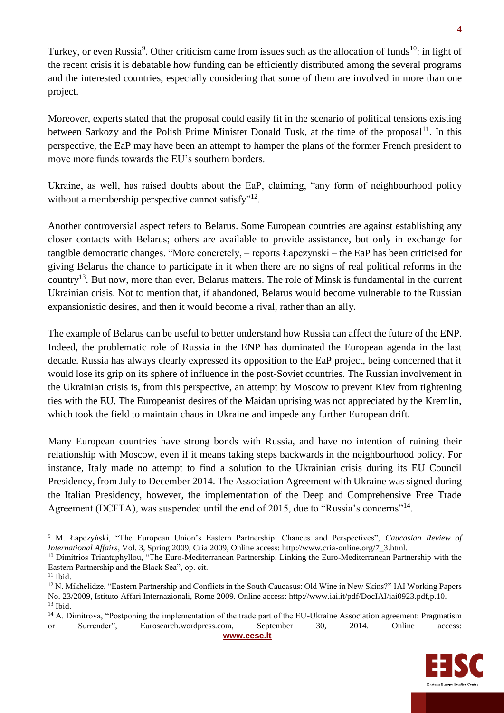Turkey, or even Russia<sup>9</sup>. Other criticism came from issues such as the allocation of funds<sup>10</sup>: in light of the recent crisis it is debatable how funding can be efficiently distributed among the several programs and the interested countries, especially considering that some of them are involved in more than one project.

Moreover, experts stated that the proposal could easily fit in the scenario of political tensions existing between Sarkozy and the Polish Prime Minister Donald Tusk, at the time of the proposal<sup>11</sup>. In this perspective, the EaP may have been an attempt to hamper the plans of the former French president to move more funds towards the EU's southern borders.

Ukraine, as well, has raised doubts about the EaP, claiming, "any form of neighbourhood policy without a membership perspective cannot satisfy"<sup>12</sup>.

Another controversial aspect refers to Belarus. Some European countries are against establishing any closer contacts with Belarus; others are available to provide assistance, but only in exchange for tangible democratic changes. "More concretely, – reports Łapczynski – the EaP has been criticised for giving Belarus the chance to participate in it when there are no signs of real political reforms in the country<sup>13</sup>. But now, more than ever, Belarus matters. The role of Minsk is fundamental in the current Ukrainian crisis. Not to mention that, if abandoned, Belarus would become vulnerable to the Russian expansionistic desires, and then it would become a rival, rather than an ally.

The example of Belarus can be useful to better understand how Russia can affect the future of the ENP. Indeed, the problematic role of Russia in the ENP has dominated the European agenda in the last decade. Russia has always clearly expressed its opposition to the EaP project, being concerned that it would lose its grip on its sphere of influence in the post-Soviet countries. The Russian involvement in the Ukrainian crisis is, from this perspective, an attempt by Moscow to prevent Kiev from tightening ties with the EU. The Europeanist desires of the Maidan uprising was not appreciated by the Kremlin, which took the field to maintain chaos in Ukraine and impede any further European drift.

Many European countries have strong bonds with Russia, and have no intention of ruining their relationship with Moscow, even if it means taking steps backwards in the neighbourhood policy. For instance, Italy made no attempt to find a solution to the Ukrainian crisis during its EU Council Presidency, from July to December 2014. The Association Agreement with Ukraine was signed during the Italian Presidency, however, the implementation of the Deep and Comprehensive Free Trade Agreement (DCFTA), was suspended until the end of 2015, due to "Russia's concerns"<sup>14</sup>.

**[www.eesc.lt](http://www.eesc.lt/)**



<sup>9</sup> M. Łapczyński, "The European Union's Eastern Partnership: Chances and Perspectives", *Caucasian Review of International Affairs*, Vol. 3, Spring 2009, Cria 2009, Online access: http://www.cria-online.org/7\_3.html. <sup>10</sup> Dimitrios Triantaphyllou, "The Euro-Mediterranean Partnership. Linking the Euro-Mediterranean Partnership with the

Eastern Partnership and the Black Sea", op. cit.

 $11$  Ibid.

<sup>&</sup>lt;sup>12</sup> N. Mikhelidze, "Eastern Partnership and Conflicts in the South Caucasus: Old Wine in New Skins?" IAI Working Papers No. 23/2009, Istituto Affari Internazionali, Rome 2009. Online access: http://www.iai.it/pdf/DocIAI/iai0923.pdf,p.10. <sup>13</sup> Ibid.

<sup>&</sup>lt;sup>14</sup> A. Dimitrova, "Postponing the implementation of the trade part of the EU-Ukraine Association agreement: Pragmatism or Surrender", Eurosearch.wordpress.com, September 30, 2014. Online access: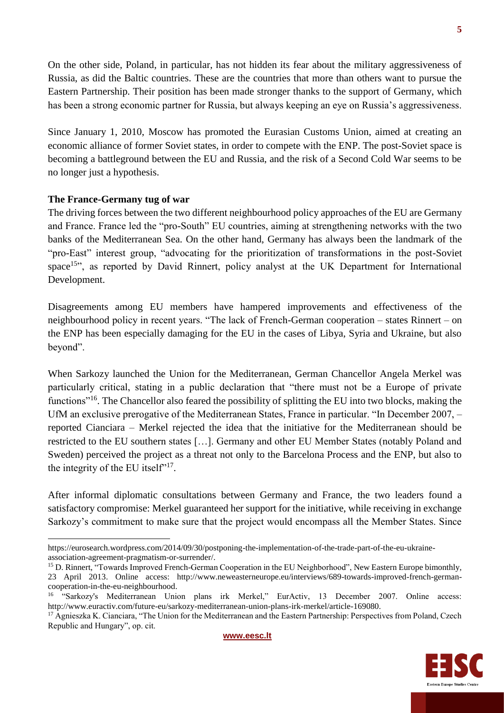On the other side, Poland, in particular, has not hidden its fear about the military aggressiveness of Russia, as did the Baltic countries. These are the countries that more than others want to pursue the Eastern Partnership. Their position has been made stronger thanks to the support of Germany, which has been a strong economic partner for Russia, but always keeping an eye on Russia's aggressiveness.

Since January 1, 2010, Moscow has promoted the Eurasian Customs Union, aimed at creating an economic alliance of former Soviet states, in order to compete with the ENP. The post-Soviet space is becoming a battleground between the EU and Russia, and the risk of a Second Cold War seems to be no longer just a hypothesis.

## **The France-Germany tug of war**

The driving forces between the two different neighbourhood policy approaches of the EU are Germany and France. France led the "pro-South" EU countries, aiming at strengthening networks with the two banks of the Mediterranean Sea. On the other hand, Germany has always been the landmark of the "pro-East" interest group, "advocating for the prioritization of transformations in the post-Soviet space<sup>15"</sup>, as reported by David Rinnert, policy analyst at the UK Department for International Development.

Disagreements among EU members have hampered improvements and effectiveness of the neighbourhood policy in recent years. "The lack of French-German cooperation – states Rinnert – on the ENP has been especially damaging for the EU in the cases of Libya, Syria and Ukraine, but also beyond".

When Sarkozy launched the Union for the Mediterranean, German Chancellor Angela Merkel was particularly critical, stating in a public declaration that "there must not be a Europe of private functions<sup>"16</sup>. The Chancellor also feared the possibility of splitting the EU into two blocks, making the UfM an exclusive prerogative of the Mediterranean States, France in particular. "In December 2007, – reported Cianciara – Merkel rejected the idea that the initiative for the Mediterranean should be restricted to the EU southern states […]. Germany and other EU Member States (notably Poland and Sweden) perceived the project as a threat not only to the Barcelona Process and the ENP, but also to the integrity of the EU itself"<sup>17</sup>.

After informal diplomatic consultations between Germany and France, the two leaders found a satisfactory compromise: Merkel guaranteed her support for the initiative, while receiving in exchange Sarkozy's commitment to make sure that the project would encompass all the Member States. Since



https://eurosearch.wordpress.com/2014/09/30/postponing-the-implementation-of-the-trade-part-of-the-eu-ukraineassociation-agreement-pragmatism-or-surrender/.

<sup>&</sup>lt;sup>15</sup> D. Rinnert, "Towards Improved French-German Cooperation in the EU Neighborhood", New Eastern Europe bimonthly, 23 April 2013. Online access: [http://www.neweasterneurope.eu/interviews/689-towards-improved-french-german](http://www.neweasterneurope.eu/interviews/689-towards-improved-french-german-cooperation-in-the-eu-neighbourhood)[cooperation-in-the-eu-neighbourhood.](http://www.neweasterneurope.eu/interviews/689-towards-improved-french-german-cooperation-in-the-eu-neighbourhood)

<sup>&</sup>lt;sup>16</sup> "Sarkozy's Mediterranean Union plans irk Merkel," EurActiv, 13 December 2007. Online access: http://www.euractiv.com/future-eu/sarkozy-mediterranean-union-plans-irk-merkel/article-169080.

<sup>&</sup>lt;sup>17</sup> Agnieszka K. Cianciara, "The Union for the Mediterranean and the Eastern Partnership: Perspectives from Poland, Czech Republic and Hungary", op. cit.